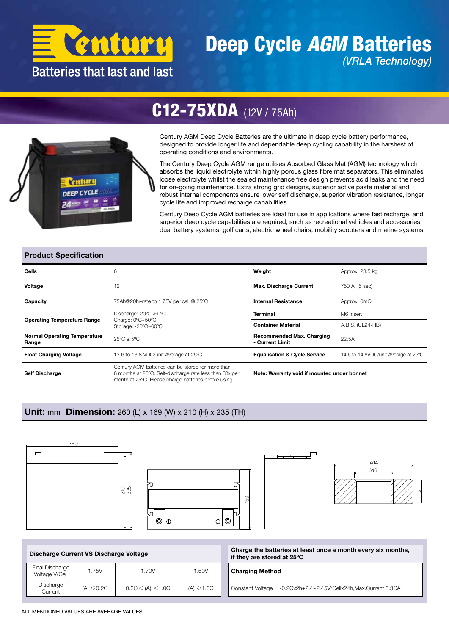

### Deep Cycle *AGM* Batteries *(VRLA Technology)*

## C12-75XDA (12V / 75Ah)



Century AGM Deep Cycle Batteries are the ultimate in deep cycle battery performance, designed to provide longer life and dependable deep cycling capability in the harshest of operating conditions and environments.

The Century Deep Cycle AGM range utilises Absorbed Glass Mat (AGM) technology which absorbs the liquid electrolyte within highly porous glass fibre mat separators. This eliminates loose electrolyte whilst the sealed maintenance free design prevents acid leaks and the need for on-going maintenance. Extra strong grid designs, superior active paste material and robust internal components ensure lower self discharge, superior vibration resistance, longer cycle life and improved recharge capabilities.

Century Deep Cycle AGM batteries are ideal for use in applications where fast recharge, and superior deep cycle capabilities are required, such as recreational vehicles and accessories, dual battery systems, golf carts, electric wheel chairs, mobility scooters and marine systems.

#### Product Specification

| <b>Cells</b>                                 | 6                                                                                                                                                                   | Weight                                              | Approx. 23.5 kg                      |  |  |  |
|----------------------------------------------|---------------------------------------------------------------------------------------------------------------------------------------------------------------------|-----------------------------------------------------|--------------------------------------|--|--|--|
| Voltage                                      | 12                                                                                                                                                                  | <b>Max. Discharge Current</b>                       | 750 A (5 sec)                        |  |  |  |
| Capacity                                     | 75Ah@20hr-rate to 1.75V per cell @ 25°C                                                                                                                             | <b>Internal Resistance</b>                          | Approx. $6m\Omega$                   |  |  |  |
| <b>Operating Temperature Range</b>           | Discharge:-20°C~60°C                                                                                                                                                | <b>Terminal</b>                                     | M6 Insert                            |  |  |  |
|                                              | Charge: 0°C~50°C<br>Storage: -20°C~60°C                                                                                                                             | <b>Container Material</b>                           | A.B.S. (UL94-HB)                     |  |  |  |
| <b>Normal Operating Temperature</b><br>Range | $25^{\circ}$ C $\pm$ 5°C                                                                                                                                            | <b>Recommended Max. Charging</b><br>- Current Limit | 22.5A                                |  |  |  |
| <b>Float Charging Voltage</b>                | 13.6 to 13.8 VDC/unit Average at 25°C                                                                                                                               | <b>Equalisation &amp; Cycle Service</b>             | 14.6 to 14.8VDC/unit Average at 25°C |  |  |  |
| <b>Self Discharge</b>                        | Century AGM batteries can be stored for more than<br>6 months at 25°C. Self-discharge rate less than 3% per<br>month at 25°C. Please charge batteries before using. | Note: Warranty void if mounted under bonnet         |                                      |  |  |  |

#### Unit: mm Dimension: 260 (L) x 169 (W) x 210 (H) x 235 (TH)



| Discharge Current VS Discharge Voltage |                 |                   | Charge the batteries at least once a month every six months,<br>if they are stored at 25°C |                                                                          |  |  |  |  |
|----------------------------------------|-----------------|-------------------|--------------------------------------------------------------------------------------------|--------------------------------------------------------------------------|--|--|--|--|
| Final Discharge<br>Voltage V/Cell      | 1.75V           | 1.70V             | 1.60V                                                                                      | <b>Charging Method</b>                                                   |  |  |  |  |
| Discharge<br>Current                   | $(A) \leq 0.2C$ | 0.2C < (A) < 1.0C | $(A) \ge 1.0C$                                                                             | -0.2Cx2h+2.4~2.45V/Cellx24h,Max.Current 0.3CA<br><b>Constant Voltage</b> |  |  |  |  |

ALL MENTIONED VALUES ARE AVERAGE VALUES.